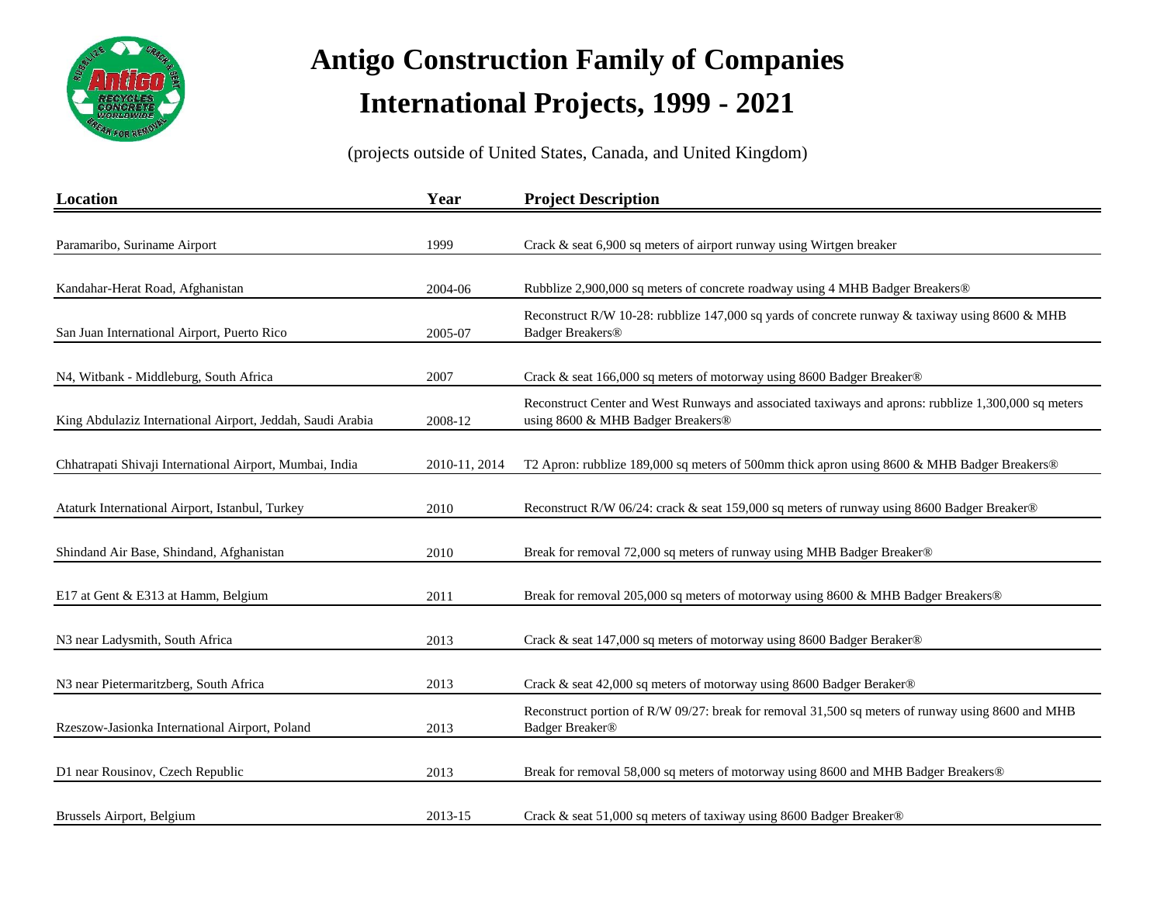

| Location                                                   | Year          | <b>Project Description</b>                                                                                                                |
|------------------------------------------------------------|---------------|-------------------------------------------------------------------------------------------------------------------------------------------|
|                                                            |               |                                                                                                                                           |
| Paramaribo, Suriname Airport                               | 1999          | Crack & seat 6,900 sq meters of airport runway using Wirtgen breaker                                                                      |
| Kandahar-Herat Road, Afghanistan                           | 2004-06       | Rubblize 2,900,000 sq meters of concrete roadway using 4 MHB Badger Breakers®                                                             |
| San Juan International Airport, Puerto Rico                | 2005-07       | Reconstruct R/W 10-28: rubblize 147,000 sq yards of concrete runway & taxiway using 8600 & MHB<br><b>Badger Breakers®</b>                 |
| N4, Witbank - Middleburg, South Africa                     | 2007          | Crack & seat 166,000 sq meters of motorway using 8600 Badger Breaker®                                                                     |
| King Abdulaziz International Airport, Jeddah, Saudi Arabia | 2008-12       | Reconstruct Center and West Runways and associated taxiways and aprons: rubblize 1,300,000 sq meters<br>using 8600 & MHB Badger Breakers® |
| Chhatrapati Shivaji International Airport, Mumbai, India   | 2010-11, 2014 | T2 Apron: rubblize 189,000 sq meters of 500mm thick apron using 8600 & MHB Badger Breakers®                                               |
| Ataturk International Airport, Istanbul, Turkey            | 2010          | Reconstruct R/W 06/24: crack & seat 159,000 sq meters of runway using 8600 Badger Breaker®                                                |
| Shindand Air Base, Shindand, Afghanistan                   | 2010          | Break for removal 72,000 sq meters of runway using MHB Badger Breaker®                                                                    |
| E17 at Gent & E313 at Hamm, Belgium                        | 2011          | Break for removal 205,000 sq meters of motorway using 8600 & MHB Badger Breakers®                                                         |
| N3 near Ladysmith, South Africa                            | 2013          | Crack & seat 147,000 sq meters of motorway using 8600 Badger Beraker®                                                                     |
| N3 near Pietermaritzberg, South Africa                     | 2013          | Crack & seat 42,000 sq meters of motorway using 8600 Badger Beraker®                                                                      |
| Rzeszow-Jasionka International Airport, Poland             | 2013          | Reconstruct portion of R/W 09/27: break for removal 31,500 sq meters of runway using 8600 and MHB<br>Badger Breaker®                      |
| D1 near Rousinov, Czech Republic                           | 2013          | Break for removal 58,000 sq meters of motorway using 8600 and MHB Badger Breakers®                                                        |
| Brussels Airport, Belgium                                  | 2013-15       | Crack & seat 51,000 sq meters of taxiway using 8600 Badger Breaker®                                                                       |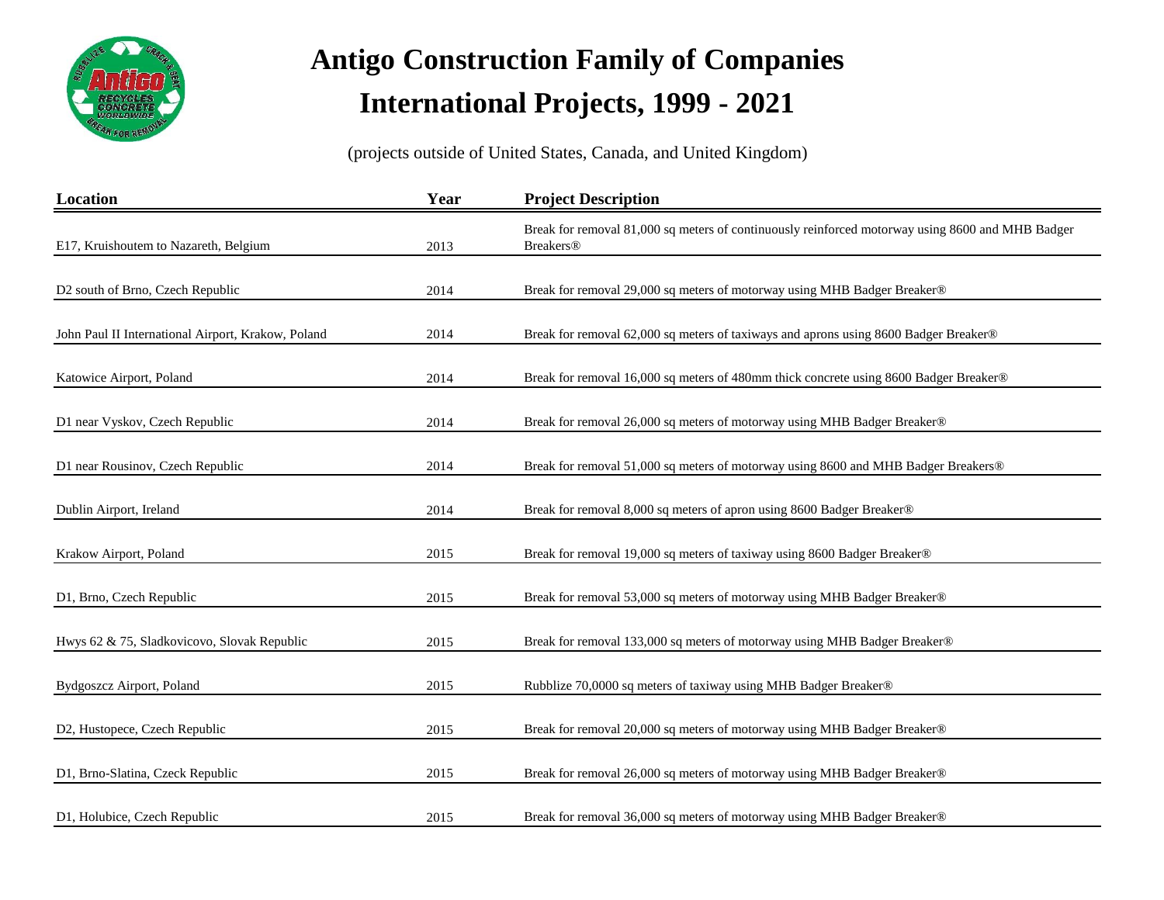

| Location                                           | Year | <b>Project Description</b>                                                                                           |
|----------------------------------------------------|------|----------------------------------------------------------------------------------------------------------------------|
| E17, Kruishoutem to Nazareth, Belgium              | 2013 | Break for removal 81,000 sq meters of continuously reinforced motorway using 8600 and MHB Badger<br><b>Breakers®</b> |
|                                                    |      |                                                                                                                      |
| D2 south of Brno, Czech Republic                   | 2014 | Break for removal 29,000 sq meters of motorway using MHB Badger Breaker®                                             |
| John Paul II International Airport, Krakow, Poland | 2014 | Break for removal 62,000 sq meters of taxiways and aprons using 8600 Badger Breaker®                                 |
| Katowice Airport, Poland                           | 2014 | Break for removal 16,000 sq meters of 480mm thick concrete using 8600 Badger Breaker®                                |
| D1 near Vyskov, Czech Republic                     | 2014 | Break for removal 26,000 sq meters of motorway using MHB Badger Breaker®                                             |
| D1 near Rousinov, Czech Republic                   | 2014 | Break for removal 51,000 sq meters of motorway using 8600 and MHB Badger Breakers®                                   |
| Dublin Airport, Ireland                            | 2014 | Break for removal 8,000 sq meters of apron using 8600 Badger Breaker®                                                |
| Krakow Airport, Poland                             | 2015 | Break for removal 19,000 sq meters of taxiway using 8600 Badger Breaker®                                             |
| D1, Brno, Czech Republic                           | 2015 | Break for removal 53,000 sq meters of motorway using MHB Badger Breaker®                                             |
| Hwys 62 & 75, Sladkovicovo, Slovak Republic        | 2015 | Break for removal 133,000 sq meters of motorway using MHB Badger Breaker®                                            |
| Bydgoszcz Airport, Poland                          | 2015 | Rubblize 70,0000 sq meters of taxiway using MHB Badger Breaker®                                                      |
| D2, Hustopece, Czech Republic                      | 2015 | Break for removal 20,000 sq meters of motorway using MHB Badger Breaker®                                             |
| D1, Brno-Slatina, Czeck Republic                   | 2015 | Break for removal 26,000 sq meters of motorway using MHB Badger Breaker®                                             |
| D1, Holubice, Czech Republic                       | 2015 | Break for removal 36,000 sq meters of motorway using MHB Badger Breaker®                                             |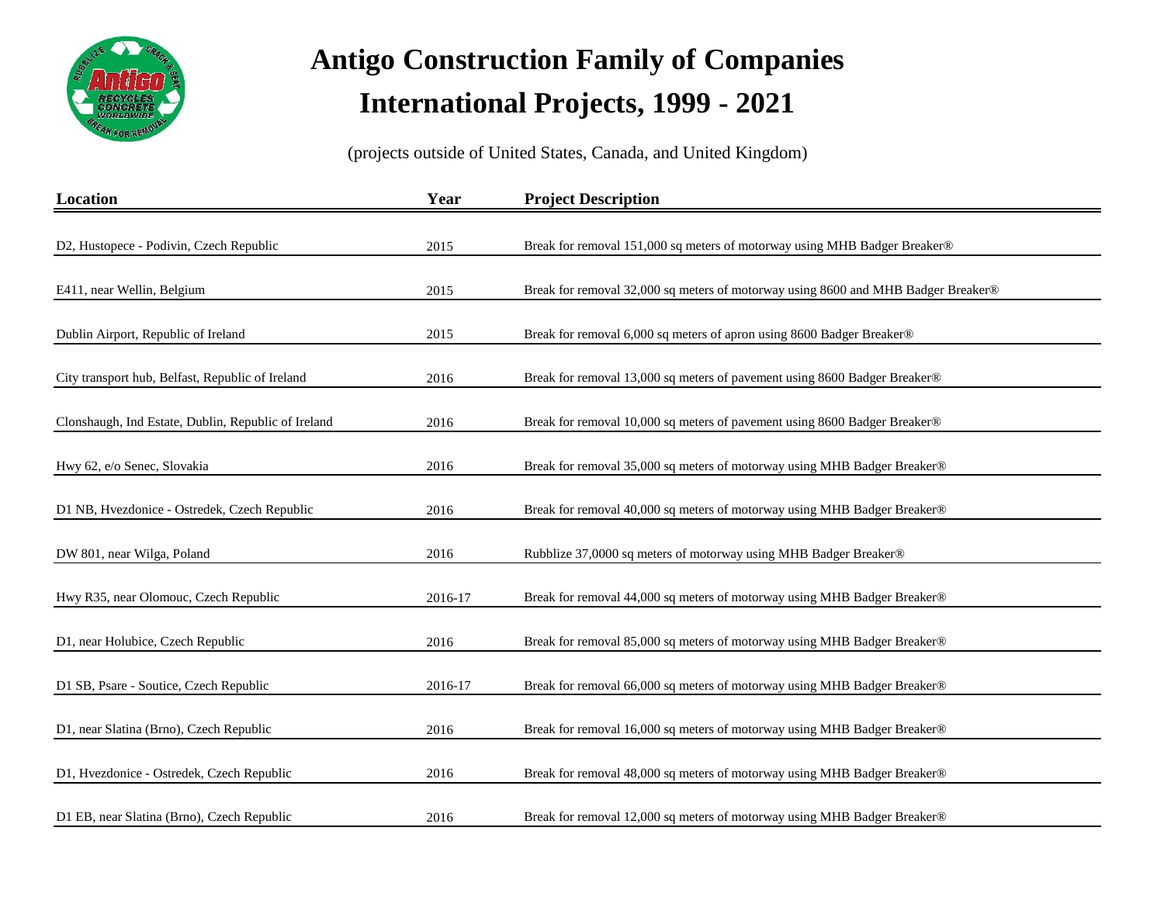

| Location                                            | Year    | <b>Project Description</b>                                                        |
|-----------------------------------------------------|---------|-----------------------------------------------------------------------------------|
| D2, Hustopece - Podivin, Czech Republic             | 2015    | Break for removal 151,000 sq meters of motorway using MHB Badger Breaker®         |
| E411, near Wellin, Belgium                          | 2015    | Break for removal 32,000 sq meters of motorway using 8600 and MHB Badger Breaker® |
| Dublin Airport, Republic of Ireland                 | 2015    | Break for removal 6,000 sq meters of apron using 8600 Badger Breaker®             |
| City transport hub, Belfast, Republic of Ireland    | 2016    | Break for removal 13,000 sq meters of pavement using 8600 Badger Breaker®         |
| Clonshaugh, Ind Estate, Dublin, Republic of Ireland | 2016    | Break for removal 10,000 sq meters of pavement using 8600 Badger Breaker®         |
| Hwy 62, e/o Senec, Slovakia                         | 2016    | Break for removal 35,000 sq meters of motorway using MHB Badger Breaker®          |
| D1 NB, Hvezdonice - Ostredek, Czech Republic        | 2016    | Break for removal 40,000 sq meters of motorway using MHB Badger Breaker®          |
| DW 801, near Wilga, Poland                          | 2016    | Rubblize 37,0000 sq meters of motorway using MHB Badger Breaker®                  |
| Hwy R35, near Olomouc, Czech Republic               | 2016-17 | Break for removal 44,000 sq meters of motorway using MHB Badger Breaker®          |
| D1, near Holubice, Czech Republic                   | 2016    | Break for removal 85,000 sq meters of motorway using MHB Badger Breaker®          |
| D1 SB, Psare - Soutice, Czech Republic              | 2016-17 | Break for removal 66,000 sq meters of motorway using MHB Badger Breaker®          |
| D1, near Slatina (Brno), Czech Republic             | 2016    | Break for removal 16,000 sq meters of motorway using MHB Badger Breaker®          |
| D1, Hvezdonice - Ostredek, Czech Republic           | 2016    | Break for removal 48,000 sq meters of motorway using MHB Badger Breaker®          |
| D1 EB, near Slatina (Brno), Czech Republic          | 2016    | Break for removal 12,000 sq meters of motorway using MHB Badger Breaker®          |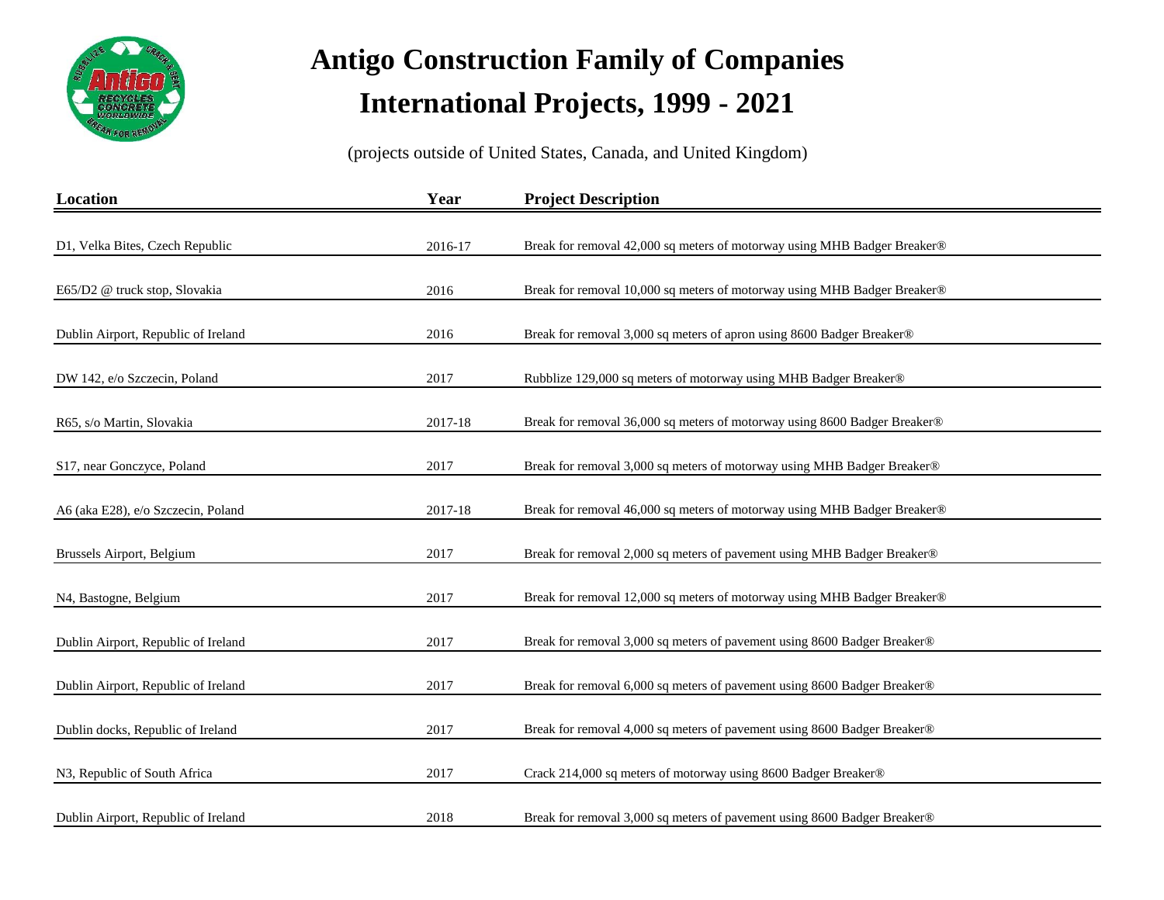

| Location                            | Year    | <b>Project Description</b>                                                |
|-------------------------------------|---------|---------------------------------------------------------------------------|
|                                     |         |                                                                           |
| D1, Velka Bites, Czech Republic     | 2016-17 | Break for removal 42,000 sq meters of motorway using MHB Badger Breaker®  |
| E65/D2 @ truck stop, Slovakia       | 2016    | Break for removal 10,000 sq meters of motorway using MHB Badger Breaker®  |
| Dublin Airport, Republic of Ireland | 2016    | Break for removal 3,000 sq meters of apron using 8600 Badger Breaker®     |
| DW 142, e/o Szczecin, Poland        | 2017    | Rubblize 129,000 sq meters of motorway using MHB Badger Breaker®          |
| R65, s/o Martin, Slovakia           | 2017-18 | Break for removal 36,000 sq meters of motorway using 8600 Badger Breaker® |
| S17, near Gonczyce, Poland          | 2017    | Break for removal 3,000 sq meters of motorway using MHB Badger Breaker®   |
| A6 (aka E28), e/o Szczecin, Poland  | 2017-18 | Break for removal 46,000 sq meters of motorway using MHB Badger Breaker®  |
| Brussels Airport, Belgium           | 2017    | Break for removal 2,000 sq meters of pavement using MHB Badger Breaker®   |
| N4, Bastogne, Belgium               | 2017    | Break for removal 12,000 sq meters of motorway using MHB Badger Breaker®  |
| Dublin Airport, Republic of Ireland | 2017    | Break for removal 3,000 sq meters of pavement using 8600 Badger Breaker®  |
| Dublin Airport, Republic of Ireland | 2017    | Break for removal 6,000 sq meters of pavement using 8600 Badger Breaker®  |
| Dublin docks, Republic of Ireland   | 2017    | Break for removal 4,000 sq meters of pavement using 8600 Badger Breaker®  |
| N3, Republic of South Africa        | 2017    | Crack 214,000 sq meters of motorway using 8600 Badger Breaker®            |
| Dublin Airport, Republic of Ireland | 2018    | Break for removal 3,000 sq meters of pavement using 8600 Badger Breaker®  |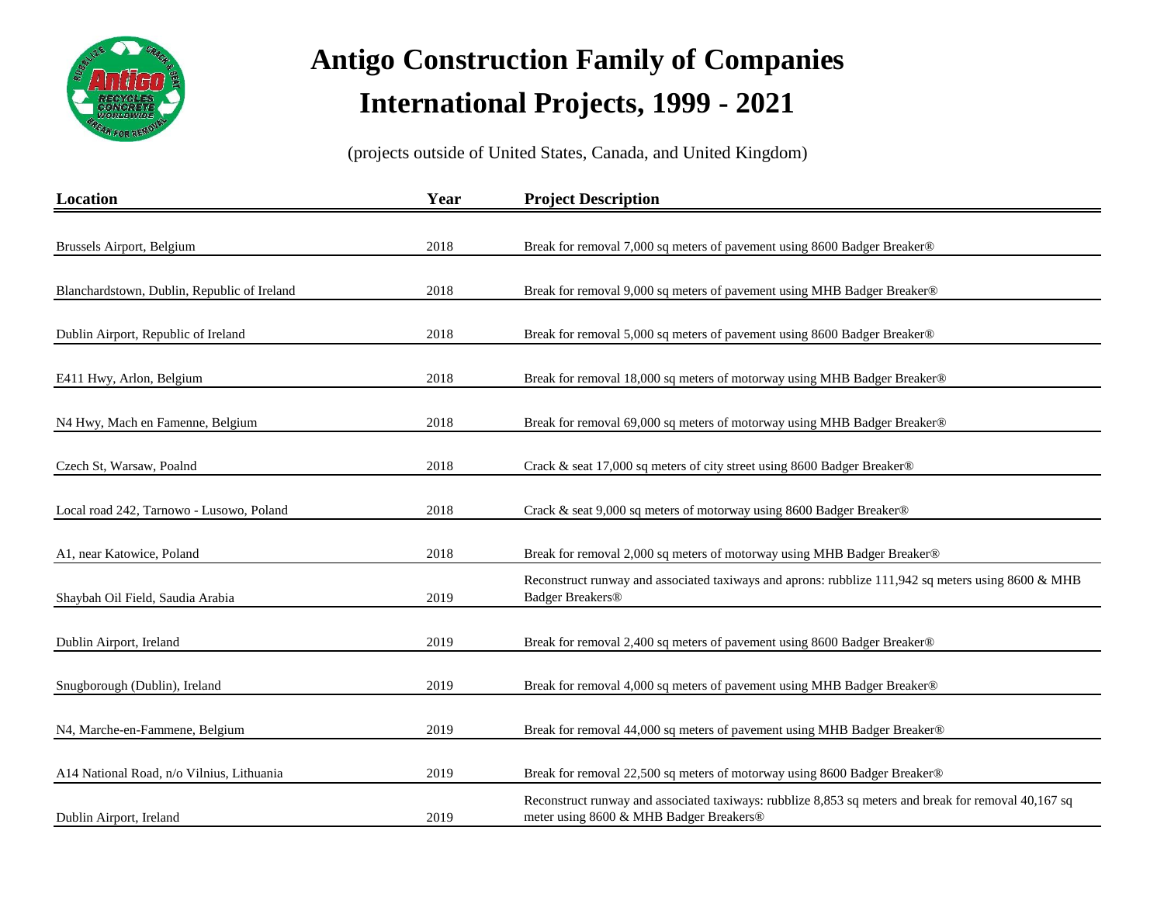

| Location                                    | Year | <b>Project Description</b>                                                                                                                      |
|---------------------------------------------|------|-------------------------------------------------------------------------------------------------------------------------------------------------|
|                                             |      |                                                                                                                                                 |
| Brussels Airport, Belgium                   | 2018 | Break for removal 7,000 sq meters of pavement using 8600 Badger Breaker®                                                                        |
| Blanchardstown, Dublin, Republic of Ireland | 2018 | Break for removal 9,000 sq meters of pavement using MHB Badger Breaker®                                                                         |
| Dublin Airport, Republic of Ireland         | 2018 | Break for removal 5,000 sq meters of pavement using 8600 Badger Breaker®                                                                        |
| E411 Hwy, Arlon, Belgium                    | 2018 | Break for removal 18,000 sq meters of motorway using MHB Badger Breaker®                                                                        |
| N4 Hwy, Mach en Famenne, Belgium            | 2018 | Break for removal 69,000 sq meters of motorway using MHB Badger Breaker®                                                                        |
| Czech St, Warsaw, Poalnd                    | 2018 | Crack & seat 17,000 sq meters of city street using 8600 Badger Breaker®                                                                         |
| Local road 242, Tarnowo - Lusowo, Poland    | 2018 | Crack & seat 9,000 sq meters of motorway using 8600 Badger Breaker®                                                                             |
| A1, near Katowice, Poland                   | 2018 | Break for removal 2,000 sq meters of motorway using MHB Badger Breaker®                                                                         |
| Shaybah Oil Field, Saudia Arabia            | 2019 | Reconstruct runway and associated taxiways and aprons: rubblize 111,942 sq meters using 8600 & MHB<br><b>Badger Breakers®</b>                   |
| Dublin Airport, Ireland                     | 2019 | Break for removal 2,400 sq meters of pavement using 8600 Badger Breaker®                                                                        |
| Snugborough (Dublin), Ireland               | 2019 | Break for removal 4,000 sq meters of pavement using MHB Badger Breaker®                                                                         |
| N4, Marche-en-Fammene, Belgium              | 2019 | Break for removal 44,000 sq meters of pavement using MHB Badger Breaker®                                                                        |
|                                             |      |                                                                                                                                                 |
| A14 National Road, n/o Vilnius, Lithuania   | 2019 | Break for removal 22,500 sq meters of motorway using 8600 Badger Breaker®                                                                       |
| Dublin Airport, Ireland                     | 2019 | Reconstruct runway and associated taxiways: rubblize 8,853 sq meters and break for removal 40,167 sq<br>meter using 8600 & MHB Badger Breakers® |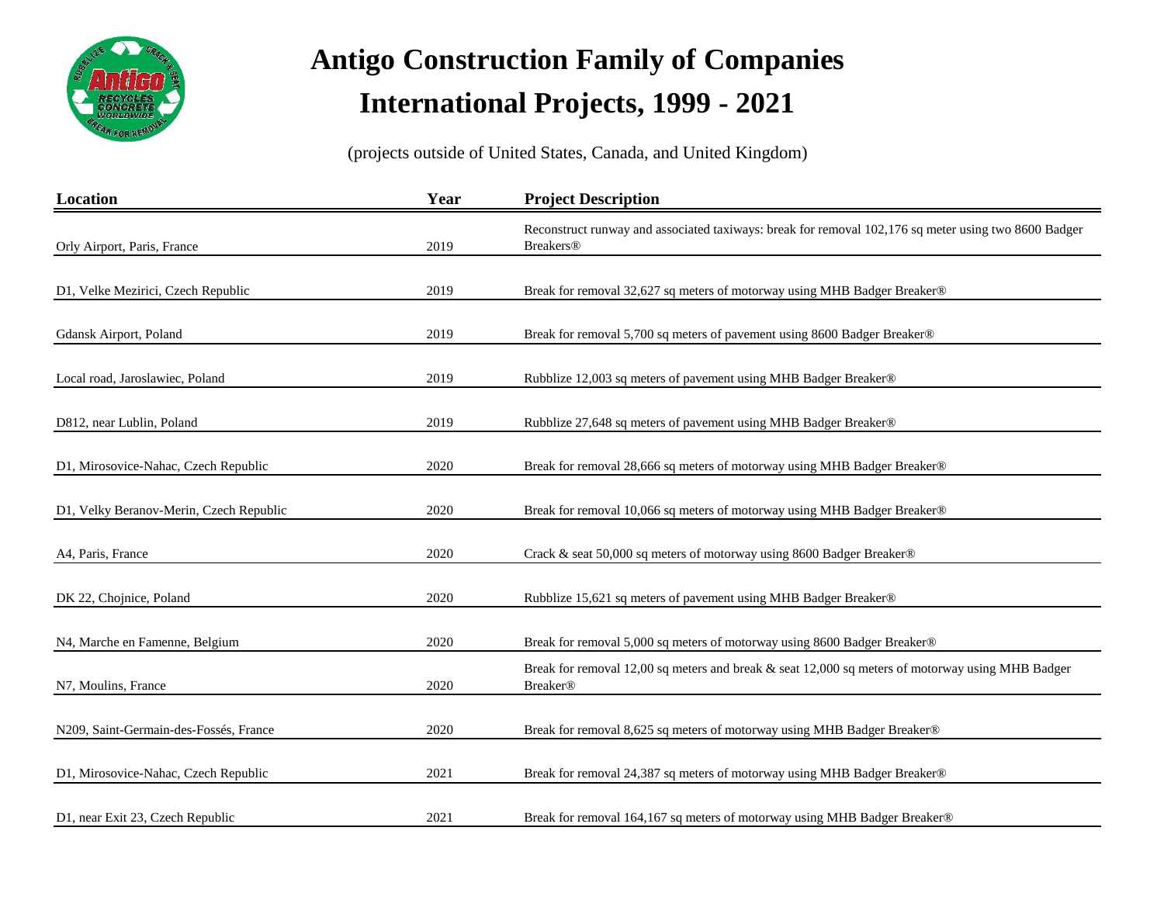

| Location                                | Year | <b>Project Description</b>                                                                                               |
|-----------------------------------------|------|--------------------------------------------------------------------------------------------------------------------------|
| Orly Airport, Paris, France             | 2019 | Reconstruct runway and associated taxiways: break for removal 102,176 sq meter using two 8600 Badger<br><b>Breakers®</b> |
|                                         |      |                                                                                                                          |
| D1, Velke Mezirici, Czech Republic      | 2019 | Break for removal 32,627 sq meters of motorway using MHB Badger Breaker®                                                 |
| Gdansk Airport, Poland                  | 2019 | Break for removal 5,700 sq meters of pavement using 8600 Badger Breaker®                                                 |
| Local road, Jaroslawiec, Poland         | 2019 | Rubblize 12,003 sq meters of pavement using MHB Badger Breaker®                                                          |
| D812, near Lublin, Poland               | 2019 | Rubblize 27,648 sq meters of pavement using MHB Badger Breaker®                                                          |
| D1, Mirosovice-Nahac, Czech Republic    | 2020 | Break for removal 28,666 sq meters of motorway using MHB Badger Breaker®                                                 |
| D1, Velky Beranov-Merin, Czech Republic | 2020 | Break for removal 10,066 sq meters of motorway using MHB Badger Breaker®                                                 |
| A4, Paris, France                       | 2020 | Crack & seat 50,000 sq meters of motorway using 8600 Badger Breaker®                                                     |
| DK 22, Chojnice, Poland                 | 2020 | Rubblize 15,621 sq meters of pavement using MHB Badger Breaker®                                                          |
| N4, Marche en Famenne, Belgium          | 2020 | Break for removal 5,000 sq meters of motorway using 8600 Badger Breaker®                                                 |
| N7, Moulins, France                     | 2020 | Break for removal 12,00 sq meters and break $\&$ seat 12,000 sq meters of motorway using MHB Badger<br><b>Breaker®</b>   |
|                                         |      |                                                                                                                          |
| N209, Saint-Germain-des-Fossés, France  | 2020 | Break for removal 8,625 sq meters of motorway using MHB Badger Breaker®                                                  |
| D1, Mirosovice-Nahac, Czech Republic    | 2021 | Break for removal 24,387 sq meters of motorway using MHB Badger Breaker®                                                 |
| D1, near Exit 23, Czech Republic        | 2021 | Break for removal 164,167 sq meters of motorway using MHB Badger Breaker®                                                |